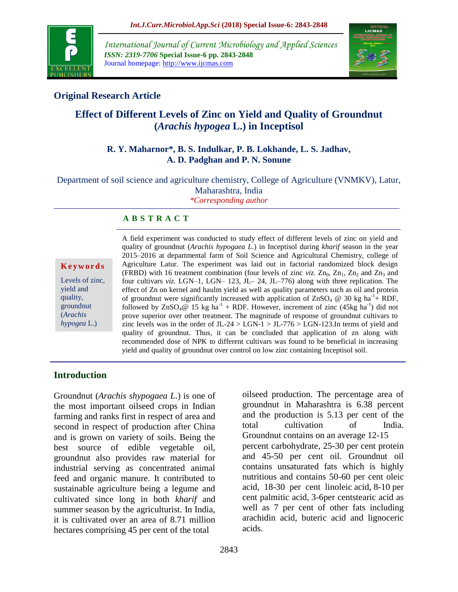

*International Journal of Current Microbiology and Applied Sciences ISSN: 2319-7706* **Special Issue-6 pp. 2843-2848** Journal homepage: http://www.ijcmas.com



## **Original Research Article**

# **Effect of Different Levels of Zinc on Yield and Quality of Groundnut (***Arachis hypogea* **L.) in Inceptisol**

#### **R. Y. Maharnor\*, B. S. Indulkar, P. B. Lokhande, L. S. Jadhav, A. D. Padghan and P. N. Sonune**

Department of soil science and agriculture chemistry, College of Agriculture (VNMKV), Latur, Maharashtra, India *\*Corresponding author*

#### **A B S T R A C T**

**K e y w o r d s** Levels of zinc, yield and quality, groundnut (*Arachis hypogea* L.)

A field experiment was conducted to study effect of different levels of zinc on yield and quality of groundnut (*Arachis hypogaea L.*) in Inceptisol during *kharif* season in the year 2015–2016 at departmental farm of Soil Science and Agricultural Chemistry, college of Agriculture Latur. The experiment was laid out in factorial randomized block design (FRBD) with 16 treatment combination (four levels of zinc *viz*.  $Zn_0$ ,  $Zn_1$ ,  $Zn_2$  and  $Zn_3$  and four cultivars *viz.* LGN–1, LGN– 123, JL– 24, JL–776) along with three replication. The effect of Zn on kernel and haulm yield as well as quality parameters such as oil and protein of groundnut were significantly increased with application of  $ZnSO_4 \otimes 30$  kg ha<sup>-1</sup>+ RDF, followed by  $\text{ZnSO}_4\omega$  15 kg ha<sup>-1</sup> + RDF. However, increment of zinc (45kg ha<sup>-1</sup>) did not prove superior over other treatment. The magnitude of response of groundnut cultivars to zinc levels was in the order of JL-24 > LGN-1 > JL-776 > LGN-123.In terms of yield and quality of groundnut. Thus, it can be concluded that application of zn along with recommended dose of NPK to different cultivars was found to be beneficial in increasing yield and quality of groundnut over control on low zinc containing Inceptisol soil.

### **Introduction**

Groundnut (*Arachis shypogaea L*.) is one of the most important oilseed crops in Indian farming and ranks first in respect of area and second in respect of production after China and is grown on variety of soils. Being the best source of edible vegetable oil, groundnut also provides raw material for industrial serving as concentrated animal feed and organic manure. It contributed to sustainable agriculture being a legume and cultivated since long in both *kharif* and summer season by the agriculturist. In India, it is cultivated over an area of 8.71 million hectares comprising 45 per cent of the total

oilseed production. The percentage area of groundnut in Maharashtra is 6.38 percent and the production is 5.13 per cent of the total cultivation of India. Groundnut contains on an average 12-15 percent carbohydrate, 25-30 per cent protein and 45-50 per cent oil. Groundnut oil contains unsaturated fats which is highly nutritious and contains 50-60 per cent oleic acid, 18-30 per cent linoleic acid, 8-10 per cent palmitic acid, 3-6per centstearic acid as well as 7 per cent of other fats including arachidin acid, buteric acid and lignoceric acids.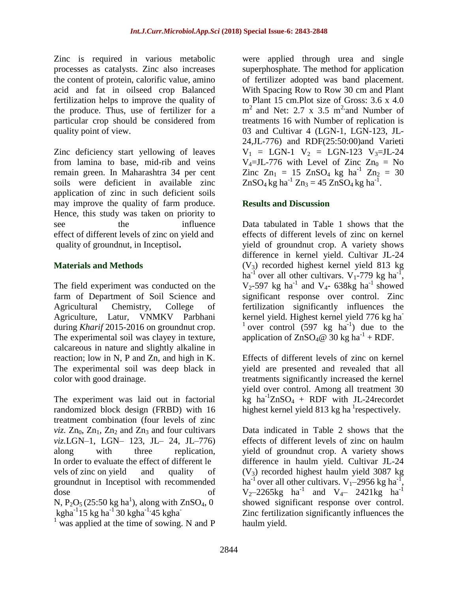Zinc is required in various metabolic processes as catalysts. Zinc also increases the content of protein, calorific value, amino acid and fat in oilseed crop Balanced fertilization helps to improve the quality of the produce. Thus, use of fertilizer for a particular crop should be considered from quality point of view.

Zinc deficiency start yellowing of leaves from lamina to base, mid-rib and veins remain green. In Maharashtra 34 per cent soils were deficient in available zinc application of zinc in such deficient soils may improve the quality of farm produce. Hence, this study was taken on priority to see the influence effect of different levels of zinc on yield and quality of groundnut, in Inceptisol**.**

#### **Materials and Methods**

The field experiment was conducted on the farm of Department of Soil Science and Agricultural Chemistry, College of Agriculture, Latur, VNMKV Parbhani during *Kharif* 2015-2016 on groundnut crop. The experimental soil was clayey in texture, calcareous in nature and slightly alkaline in reaction; low in N, P and Zn, and high in K. The experimental soil was deep black in color with good drainage.

The experiment was laid out in factorial randomized block design (FRBD) with 16 treatment combination (four levels of zinc *viz.*  $Zn_0$ ,  $Zn_1$ ,  $Zn_2$  and  $Zn_3$  and four cultivars *viz.*LGN–1, LGN– 123, JL– 24, JL–776) along with three replication, In order to evaluate the effect of different le vels of zinc on yield and quality of groundnut in Inceptisol with recommended dose of

N, P<sub>2</sub>O<sub>5</sub> (25:50 kg ha<sup>1</sup>), along with ZnSO<sub>4</sub>, 0  $kgha^{-1}15 kg ha^{-1}30 kgha^{-1}45 kgha^{-1}$ 

<sup>1</sup> was applied at the time of sowing. N and P

were applied through urea and single superphosphate. The method for application of fertilizer adopted was band placement. With Spacing Row to Row 30 cm and Plant to Plant 15 cm.Plot size of Gross: 3.6 x 4.0  $m<sup>2</sup>$  and Net: 2.7 x 3.5 m<sup>2</sup> and Number of treatments 16 with Number of replication is 03 and Cultivar 4 (LGN-1, LGN-123, JL-24,JL-776) and RDF(25:50:00)and Varieti  $V_1$  = LGN-1  $V_2$  = LGN-123  $V_3$ =JL-24  $V_4 = JL-776$  with Level of Zinc  $Zn_0 = No$  $\text{Zinc Zn}_1 = 15 \text{ ZnSO}_4 \text{ kg ha}^{-1} \text{ Zn}_2 = 30$  $ZnSO_4$  kg ha<sup>-1</sup>  $Zn_3 = 45 ZnSO_4$  kg ha<sup>-1</sup>.

#### **Results and Discussion**

Data tabulated in Table 1 shows that the effects of different levels of zinc on kernel yield of groundnut crop. A variety shows difference in kernel yield. Cultivar JL-24  $(V<sub>3</sub>)$  recorded highest kernel yield 813 kg ha<sup>-1</sup> over all other cultivars. V<sub>1</sub>-779 kg ha<sup>-1</sup>,  $V_2$ -597 kg ha<sup>-1</sup> and  $V_4$ - 638kg ha<sup>-1</sup> showed significant response over control. Zinc fertilization significantly influences the kernel yield. Highest kernel yield 776 kg ha-<sup>1</sup> over control (597 kg  $ha^{-1}$ ) due to the application of  $ZnSO_4@$  30 kg ha<sup>-1</sup> + RDF.

Effects of different levels of zinc on kernel yield are presented and revealed that all treatments significantly increased the kernel yield over control. Among all treatment 30  $kg$  ha<sup>-1</sup>ZnSO<sub>4</sub> + RDF with JL-24 recordet highest kernel yield 813 kg ha $^1$ respectively.

Data indicated in Table 2 shows that the effects of different levels of zinc on haulm yield of groundnut crop. A variety shows difference in haulm yield. Cultivar JL-24  $(V<sub>3</sub>)$  recorded highest haulm yield 3087 kg ha<sup>-1</sup> over all other cultivars.  $V_1$ –2956 kg ha<sup>-1</sup> ,  $V_2$ -2265kg ha<sup>-1</sup> and  $V_4$ - 2421kg ha<sup>-1</sup> showed significant response over control. Zinc fertilization significantly influences the haulm yield.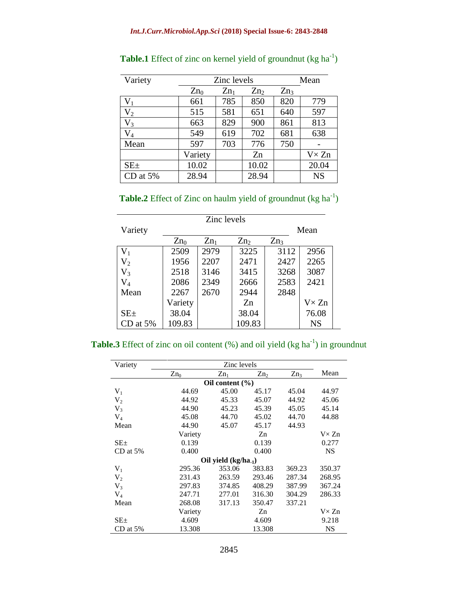| Variety    | Zinc levels     |        |                 |                 | Mean          |  |
|------------|-----------------|--------|-----------------|-----------------|---------------|--|
|            | Zn <sub>0</sub> | $Zn_1$ | Zn <sub>2</sub> | Zn <sub>3</sub> |               |  |
| $V_1$      | 661             | 785    | 850             | 820             | 779           |  |
| $V_2$      | 515             | 581    | 651             | 640             | 597           |  |
| $V_3$      | 663             | 829    | 900             | 861             | 813           |  |
| $V_4$      | 549             | 619    | 702             | 681             | 638           |  |
| Mean       | 597             | 703    | 776             | 750             |               |  |
|            | Variety         |        | Zn              |                 | $V \times Zn$ |  |
| $SE_{\pm}$ | 10.02           |        | 10.02           |                 | 20.04         |  |
| CD at $5%$ | 28.94           |        | 28.94           |                 | <b>NS</b>     |  |

Table.1 Effect of zinc on kernel yield of groundnut (kg ha<sup>-1</sup>)

|  |  | <b>Table.2</b> Effect of Zinc on haulm yield of groundnut ( $kg \text{ ha}^{-1}$ ) |  |
|--|--|------------------------------------------------------------------------------------|--|
|  |  |                                                                                    |  |

| Zinc levels    |         |        |                 |                 |               |  |
|----------------|---------|--------|-----------------|-----------------|---------------|--|
| Variety        |         |        | Mean            |                 |               |  |
|                | $Zn_0$  | $Zn_1$ | Zn <sub>2</sub> | Zn <sub>3</sub> |               |  |
| $V_1$          | 2509    | 2979   | 3225            | 3112            | 2956          |  |
| V <sub>2</sub> | 1956    | 2207   | 2471            | 2427            | 2265          |  |
| $V_3$          | 2518    | 3146   | 3415            | 3268            | 3087          |  |
| $\rm V_4$      | 2086    | 2349   | 2666            | 2583            | 2421          |  |
| Mean           | 2267    | 2670   | 2944            | 2848            |               |  |
|                | Variety |        | Zn              |                 | $V \times Zn$ |  |
| $SE \pm$       | 38.04   |        | 38.04           |                 | 76.08         |  |
| CD at $5%$     | 109.83  |        | 109.83          |                 | <b>NS</b>     |  |

|  |  |  |  |  | <b>Table.3</b> Effect of zinc on oil content $(\%)$ and oil yield $(kg ha^{-1})$ in groundnut |
|--|--|--|--|--|-----------------------------------------------------------------------------------------------|
|  |  |  |  |  |                                                                                               |

| Variety        | Zinc levels              |                     |                 |        |               |  |  |  |
|----------------|--------------------------|---------------------|-----------------|--------|---------------|--|--|--|
|                | $Zn_0$                   | $Zn_1$              | Zn <sub>2</sub> | $Zn_3$ | Mean          |  |  |  |
|                |                          | Oil content $(\% )$ |                 |        |               |  |  |  |
| $V_1$          | 44.69                    | 45.00               | 45.17           | 45.04  | 44.97         |  |  |  |
| V <sub>2</sub> | 44.92                    | 45.33               | 45.07           | 44.92  | 45.06         |  |  |  |
| $V_3$          | 44.90                    | 45.23               | 45.39           | 45.05  | 45.14         |  |  |  |
| $V_4$          | 45.08                    | 44.70               | 45.02           | 44.70  | 44.88         |  |  |  |
| Mean           | 44.90                    | 45.07               | 45.17           | 44.93  |               |  |  |  |
|                | Variety                  |                     | Zn              |        | $V \times Zn$ |  |  |  |
| $SE_{\pm}$     | 0.139                    |                     | 0.139           |        | 0.277         |  |  |  |
| CD at $5%$     | 0.400                    |                     | 0.400           |        | <b>NS</b>     |  |  |  |
|                | Oil yield $(kg/ha_{-1})$ |                     |                 |        |               |  |  |  |
| $V_1$          | 295.36                   | 353.06              | 383.83          | 369.23 | 350.37        |  |  |  |
| V <sub>2</sub> | 231.43                   | 263.59              | 293.46          | 287.34 | 268.95        |  |  |  |
| $V_3$          | 297.83                   | 374.85              | 408.29          | 387.99 | 367.24        |  |  |  |
| $V_4$          | 247.71                   | 277.01              | 316.30          | 304.29 | 286.33        |  |  |  |
| Mean           | 268.08                   | 317.13              | 350.47          | 337.21 |               |  |  |  |
|                | Variety                  |                     | Zn              |        | $V \times Zn$ |  |  |  |
| $SE_{\pm}$     | 4.609                    |                     | 4.609           |        | 9.218         |  |  |  |
| $CD$ at 5%     | 13.308                   |                     | 13.308          |        | NS            |  |  |  |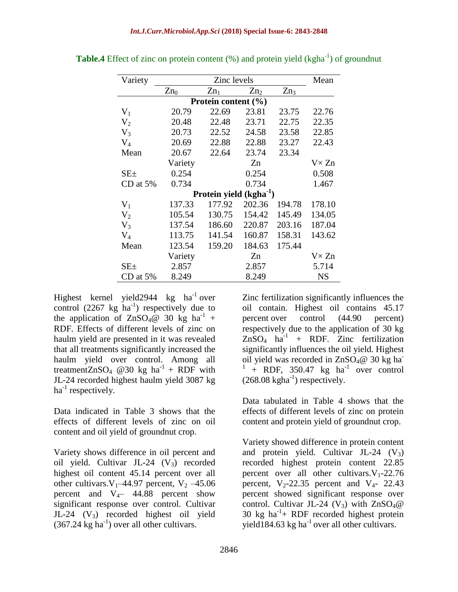| Variety                 |         | Mean                        |                 |                 |               |  |  |  |
|-------------------------|---------|-----------------------------|-----------------|-----------------|---------------|--|--|--|
|                         | $Zn_0$  | $Zn_1$                      | Zn <sub>2</sub> | Zn <sub>3</sub> |               |  |  |  |
| Protein content $(\% )$ |         |                             |                 |                 |               |  |  |  |
| $V_1$                   | 20.79   | 22.69                       | 23.81           | 23.75           | 22.76         |  |  |  |
| $V_2$                   | 20.48   | 22.48                       | 23.71           | 22.75           | 22.35         |  |  |  |
| $V_3$                   | 20.73   | 22.52                       | 24.58           | 23.58           | 22.85         |  |  |  |
| $V_4$                   | 20.69   | 22.88                       | 22.88           | 23.27           | 22.43         |  |  |  |
| Mean                    | 20.67   | 22.64                       | 23.74           | 23.34           |               |  |  |  |
|                         | Variety |                             | Zn              |                 | $V \times Zn$ |  |  |  |
| $SE_{\pm}$              | 0.254   |                             | 0.254           |                 | 0.508         |  |  |  |
| $CD$ at $5%$            | 0.734   |                             | 0.734           |                 | 1.467         |  |  |  |
|                         |         | Protein yield $(kgha^{-1})$ |                 |                 |               |  |  |  |
| $V_1$                   | 137.33  | 177.92                      | 202.36          | 194.78          | 178.10        |  |  |  |
| V <sub>2</sub>          | 105.54  | 130.75                      | 154.42          | 145.49          | 134.05        |  |  |  |
| V <sub>3</sub>          | 137.54  | 186.60                      | 220.87          | 203.16          | 187.04        |  |  |  |
| $V_4$                   | 113.75  | 141.54                      | 160.87          | 158.31          | 143.62        |  |  |  |
| Mean                    | 123.54  | 159.20                      | 184.63          | 175.44          |               |  |  |  |
|                         | Variety |                             | Zn              |                 | $V \times Zn$ |  |  |  |
| $SE \pm$                | 2.857   |                             | 2.857           |                 | 5.714         |  |  |  |
| $CD$ at 5%              | 8.249   |                             | 8.249           |                 | <b>NS</b>     |  |  |  |

**Table.4** Effect of zinc on protein content (%) and protein yield (kgha<sup>-1</sup>) of groundnut

Highest kernel yield 2944 kg ha<sup>-1</sup> over control  $(2267 \text{ kg} \text{ ha}^{-1})$  respectively due to the application of  $ZnSO_4@30$  kg ha<sup>-1</sup> + RDF. Effects of different levels of zinc on haulm yield are presented in it was revealed that all treatments significantly increased the haulm yield over control. Among all treatmentZnSO<sub>4</sub> @30 kg ha<sup>-1</sup> + RDF with JL-24 recorded highest haulm yield 3087 kg ha<sup>-1</sup> respectively.

Data indicated in Table 3 shows that the effects of different levels of zinc on oil content and oil yield of groundnut crop.

Variety shows difference in oil percent and oil yield. Cultivar JL-24  $(V_3)$  recorded highest oil content 45.14 percent over all other cultivars.  $V_1$ –44.97 percent,  $V_2$ –45.06 percent and  $V_{4}$ – 44.88 percent show significant response over control. Cultivar JL-24  $(V_3)$  recorded highest oil yield  $(367.24 \text{ kg ha}^{-1})$  over all other cultivars.

Zinc fertilization significantly influences the oil contain. Highest oil contains 45.17 percent over control (44.90 percent) respectively due to the application of 30 kg  $ZnSO<sub>4</sub>$  ha<sup>-1</sup> + RDF. Zinc fertilization significantly influences the oil yield. Highest oil yield was recorded in  $\text{ZnSO}_4@$  30 kg ha 1  $+$  RDF, 350.47 kg ha<sup>-1</sup> over control  $(268.08 \text{ kgha}^{-1})$  respectively.

Data tabulated in Table 4 shows that the effects of different levels of zinc on protein content and protein yield of groundnut crop.

Variety showed difference in protein content and protein yield. Cultivar JL-24  $(V_3)$ recorded highest protein content 22.85 percent over all other cultivars.  $V_1$ -22.76 percent,  $V_2$ -22.35 percent and  $V_4$ - 22.43 percent showed significant response over control. Cultivar JL-24 (V<sub>3</sub>) with  $ZnSO<sub>4</sub>@$ 30 kg  $ha^{-1}$ + RDF recorded highest protein yield184.63 kg ha<sup>-1</sup> over all other cultivars.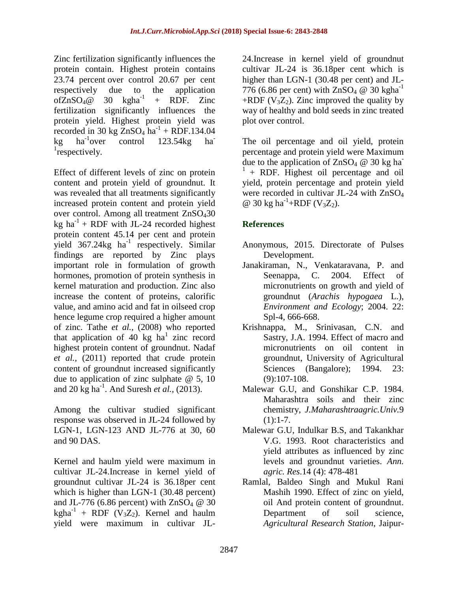Zinc fertilization significantly influences the protein contain. Highest protein contains 23.74 percent over control 20.67 per cent respectively due to the application ofZnSO<sub>4</sub> $@$  30 kgha<sup>-1</sup> + RDF. Zinc fertilization significantly influences the protein yield. Highest protein yield was recorded in 30 kg  $ZnSO<sub>4</sub>$  ha<sup>-1</sup> + RDF.134.04  $kg$  ha<sup>-1</sup> over control  $123.54kg$  ha <sup>1</sup>respectively.

Effect of different levels of zinc on protein content and protein yield of groundnut. It was revealed that all treatments significantly increased protein content and protein yield over control. Among all treatment ZnSO430 kg  $ha^{-1}$  + RDF with JL-24 recorded highest protein content 45.14 per cent and protein yield  $367.24$ kg ha<sup>-1</sup> respectively. Similar findings are reported by Zinc plays important role in formulation of growth hormones, promotion of protein synthesis in kernel maturation and production. Zinc also increase the content of proteins, calorific value, and amino acid and fat in oilseed crop hence legume crop required a higher amount of zinc. Tathe *et al.,* (2008) who reported that application of 40 kg  $ha^1$  zinc record highest protein content of groundnut. Nadaf *et al.,* (2011) reported that crude protein content of groundnut increased significantly due to application of zinc sulphate  $\omega$  5, 10 and 20 kg ha<sup>-1</sup>. And Suresh *et al.*, (2013).

Among the cultivar studied significant response was observed in JL-24 followed by LGN-1, LGN-123 AND JL-776 at 30, 60 and 90 DAS.

Kernel and haulm yield were maximum in cultivar JL-24.Increase in kernel yield of groundnut cultivar JL-24 is 36.18per cent which is higher than LGN-1 (30.48 percent) and JL-776 (6.86 percent) with  $ZnSO<sub>4</sub> \omega$  30 kgha<sup>-1</sup> + RDF ( $V_3Z_2$ ). Kernel and haulm yield were maximum in cultivar JL-

24.Increase in kernel yield of groundnut cultivar JL-24 is 36.18per cent which is higher than LGN-1 (30.48 per cent) and JL-776 (6.86 per cent) with  $ZnSO_4 \tQ 30$  kgha<sup>-1</sup> +RDF ( $V_3Z_2$ ). Zinc improved the quality by way of healthy and bold seeds in zinc treated plot over control.

The oil percentage and oil yield, protein percentage and protein yield were Maximum due to the application of  $ZnSO_4 \tQ 30 kg ha^-$ <sup>1</sup>+ RDF. Highest oil percentage and oil yield, protein percentage and protein yield were recorded in cultivar JL-24 with ZnSO<sub>4</sub> @ 30 kg ha<sup>-1</sup>+RDF (V<sub>3</sub>Z<sub>2</sub>).

### **References**

- Anonymous, 2015. Directorate of Pulses Development.
- Janakiraman, N., Venkataravana, P. and Seenappa, C. 2004. Effect of micronutrients on growth and yield of groundnut (*Arachis hypogaea* L.), *Environment and Ecology*; 2004. 22: Spl-4, 666-668.
- Krishnappa, M., Srinivasan, C.N. and Sastry, J.A. 1994. Effect of macro and micronutrients on oil content in groundnut, University of Agricultural Sciences (Bangalore); 1994. 23: (9):107-108.
- Malewar G.U, and Gonshikar C.P. 1984. Maharashtra soils and their zinc chemistry, *J.Maharashtraagric.Univ.*9  $(1):1-7.$
- Malewar G.U, Indulkar B.S, and Takankhar V.G. 1993. Root characteristics and yield attributes as influenced by zinc levels and groundnut varieties. *Ann. agric. Res*.14 (4): 478-481
- Ramlal, Baldeo Singh and Mukul Rani Mashih 1990. Effect of zinc on yield, oil And protein content of groundnut. Department of soil science, *Agricultural Research Station*, Jaipur-